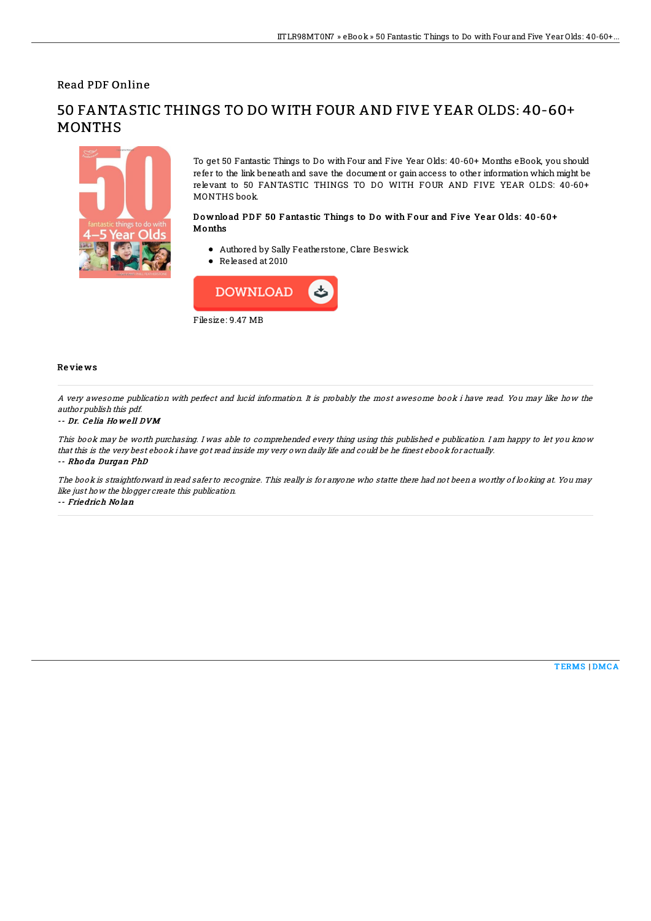Read PDF Online

MONTHS

To get 50 Fantastic Things to Do with Four and Five Year Olds: 40-60+ Months eBook, you should refer to the link beneath and save the document or gain access to other information which might be relevant to 50 FANTASTIC THINGS TO DO WITH FOUR AND FIVE YEAR OLDS: 40-60+ MONTHS book.

## Download PDF 50 Fantastic Things to Do with Four and Five Year Olds: 40-60+ Months

Authored by Sally Featherstone, Clare Beswick

50 FANTASTIC THINGS TO DO WITH FOUR AND FIVE YEAR OLDS: 40-60+

Released at 2010



### Re vie ws

A very awesome publication with perfect and lucid information. It is probably the most awesome book i have read. You may like how the author publish this pdf.

#### -- Dr. Ce lia Ho we ll DVM

This book may be worth purchasing. I was able to comprehended every thing using this published <sup>e</sup> publication. I am happy to let you know that this is the very best ebook i have got read inside my very own daily life and could be he finest ebook for actually. -- Rho da Durgan PhD

The book is straightforward in read safer to recognize. This really is for anyone who statte there had not been <sup>a</sup> worthy of looking at. You may like just how the blogger create this publication.

-- Friedrich No lan